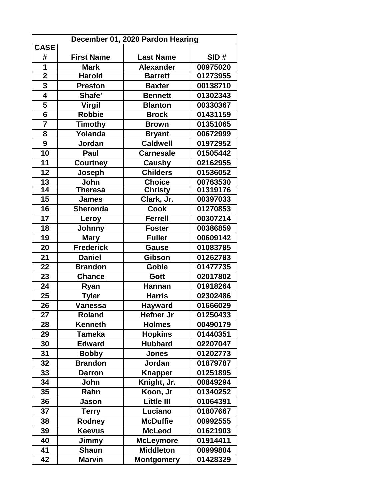| December 01, 2020 Pardon Hearing |                   |                   |          |  |
|----------------------------------|-------------------|-------------------|----------|--|
| <b>CASE</b>                      |                   |                   |          |  |
| #                                | <b>First Name</b> | <b>Last Name</b>  | SID#     |  |
| $\overline{\mathbf{1}}$          | <b>Mark</b>       | <b>Alexander</b>  | 00975020 |  |
| $\overline{2}$                   | <b>Harold</b>     | <b>Barrett</b>    | 01273955 |  |
| 3                                | <b>Preston</b>    | <b>Baxter</b>     | 00138710 |  |
| 4                                | Shafe'            | <b>Bennett</b>    | 01302343 |  |
| 5                                | <b>Virgil</b>     | <b>Blanton</b>    | 00330367 |  |
| $\overline{\mathbf{6}}$          | <b>Robbie</b>     | <b>Brock</b>      | 01431159 |  |
| $\overline{7}$                   | <b>Timothy</b>    | <b>Brown</b>      | 01351065 |  |
| 8                                | Yolanda           | <b>Bryant</b>     | 00672999 |  |
| 9                                | Jordan            | <b>Caldwell</b>   | 01972952 |  |
| 10                               | Paul              | <b>Carnesale</b>  | 01505442 |  |
| 11                               | <b>Courtney</b>   | Causby            | 02162955 |  |
| 12                               | Joseph            | <b>Childers</b>   | 01536052 |  |
| 13                               | John              | <b>Choice</b>     | 00763530 |  |
| 14                               | <b>Theresa</b>    | <b>Christy</b>    | 01319176 |  |
| 15                               | <b>James</b>      | Clark, Jr.        | 00397033 |  |
| 16                               | Sheronda          | <b>Cook</b>       | 01270853 |  |
| 17                               | Leroy             | <b>Ferrell</b>    | 00307214 |  |
| 18                               | <b>Johnny</b>     | <b>Foster</b>     | 00386859 |  |
| 19                               | <b>Mary</b>       | <b>Fuller</b>     | 00609142 |  |
| 20                               | <b>Frederick</b>  | <b>Gause</b>      | 01083785 |  |
| 21                               | <b>Daniel</b>     | <b>Gibson</b>     | 01262783 |  |
| 22                               | <b>Brandon</b>    | Goble             | 01477735 |  |
| 23                               | <b>Chance</b>     | Gott              | 02017802 |  |
| 24                               | Ryan              | <b>Hannan</b>     | 01918264 |  |
| 25                               | <b>Tyler</b>      | <b>Harris</b>     | 02302486 |  |
| 26                               | <b>Vanessa</b>    | <b>Hayward</b>    | 01666029 |  |
| 27                               | <b>Roland</b>     | Hefner Jr         | 01250433 |  |
| 28                               | <b>Kenneth</b>    | <b>Holmes</b>     | 00490179 |  |
| 29                               | <b>Tameka</b>     | <b>Hopkins</b>    | 01440351 |  |
| 30                               | <b>Edward</b>     | <b>Hubbard</b>    | 02207047 |  |
| 31                               | <b>Bobby</b>      | <b>Jones</b>      | 01202773 |  |
| 32                               | <b>Brandon</b>    | Jordan            | 01879787 |  |
| 33                               | <b>Darron</b>     | <b>Knapper</b>    | 01251895 |  |
| 34                               | John              | Knight, Jr.       | 00849294 |  |
| 35                               | Rahn              | Koon, Jr          | 01340252 |  |
| 36                               | Jason             | <b>Little III</b> | 01064391 |  |
| 37                               | <b>Terry</b>      | Luciano           | 01807667 |  |
| 38                               | Rodney            | <b>McDuffie</b>   | 00992555 |  |
| 39                               | <b>Keevus</b>     | <b>McLeod</b>     | 01621903 |  |
| 40                               | Jimmy             | <b>McLeymore</b>  | 01914411 |  |
| 41                               | <b>Shaun</b>      | <b>Middleton</b>  | 00999804 |  |
| 42                               | Marvin            | <b>Montgomery</b> | 01428329 |  |